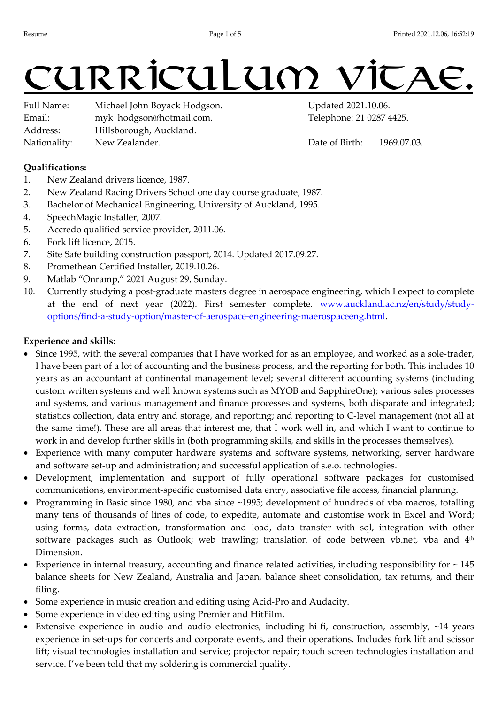# curriculum v

Full Name: Michael John Boyack Hodgson. Updated 2021.10.06. Email: myk\_hodgson@hotmail.com. Telephone: 21 0287 4425. Address: Hillsborough, Auckland. Nationality: New Zealander.  $\blacksquare$  Date of Birth: 1969.07.03.

# Qualifications:

- 1. New Zealand drivers licence, 1987.
- 2. New Zealand Racing Drivers School one day course graduate, 1987.
- 3. Bachelor of Mechanical Engineering, University of Auckland, 1995.
- 4. SpeechMagic Installer, 2007.
- 5. Accredo qualified service provider, 2011.06.
- 6. Fork lift licence, 2015.
- 7. Site Safe building construction passport, 2014. Updated 2017.09.27.
- 8. Promethean Certified Installer, 2019.10.26.
- 9. Matlab "Onramp," 2021 August 29, Sunday.
- 10. Currently studying a post-graduate masters degree in aerospace engineering, which I expect to complete at the end of next year (2022). First semester complete. www.auckland.ac.nz/en/study/studyoptions/find-a-study-option/master-of-aerospace-engineering-maerospaceeng.html.

# Experience and skills:

- Since 1995, with the several companies that I have worked for as an employee, and worked as a sole-trader, I have been part of a lot of accounting and the business process, and the reporting for both. This includes 10 years as an accountant at continental management level; several different accounting systems (including custom written systems and well known systems such as MYOB and SapphireOne); various sales processes and systems, and various management and finance processes and systems, both disparate and integrated; statistics collection, data entry and storage, and reporting; and reporting to C-level management (not all at the same time!). These are all areas that interest me, that I work well in, and which I want to continue to work in and develop further skills in (both programming skills, and skills in the processes themselves).
- Experience with many computer hardware systems and software systems, networking, server hardware and software set-up and administration; and successful application of s.e.o. technologies.
- Development, implementation and support of fully operational software packages for customised communications, environment-specific customised data entry, associative file access, financial planning.
- Programming in Basic since 1980, and vba since ~1995; development of hundreds of vba macros, totalling many tens of thousands of lines of code, to expedite, automate and customise work in Excel and Word; using forms, data extraction, transformation and load, data transfer with sql, integration with other software packages such as Outlook; web trawling; translation of code between vb.net, vba and 4<sup>th</sup> Dimension.
- Experience in internal treasury, accounting and finance related activities, including responsibility for  $\sim$  145 balance sheets for New Zealand, Australia and Japan, balance sheet consolidation, tax returns, and their filing.
- Some experience in music creation and editing using Acid-Pro and Audacity.
- Some experience in video editing using Premier and HitFilm.
- Extensive experience in audio and audio electronics, including hi-fi, construction, assembly,  $\sim$ 14 years experience in set-ups for concerts and corporate events, and their operations. Includes fork lift and scissor lift; visual technologies installation and service; projector repair; touch screen technologies installation and service. I've been told that my soldering is commercial quality.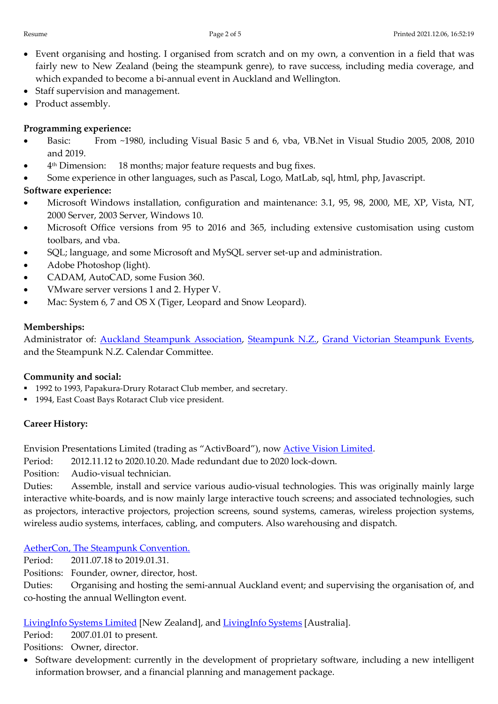- Event organising and hosting. I organised from scratch and on my own, a convention in a field that was fairly new to New Zealand (being the steampunk genre), to rave success, including media coverage, and which expanded to become a bi-annual event in Auckland and Wellington.
- Staff supervision and management.
- Product assembly.

# Programming experience:

- Basic: From ~1980, including Visual Basic 5 and 6, vba, VB.Net in Visual Studio 2005, 2008, 2010 and 2019.
- 4<sup>th</sup> Dimension: 18 months; major feature requests and bug fixes.
- Some experience in other languages, such as Pascal, Logo, MatLab, sql, html, php, Javascript.

# Software experience:

- Microsoft Windows installation, configuration and maintenance: 3.1, 95, 98, 2000, ME, XP, Vista, NT, 2000 Server, 2003 Server, Windows 10.
- Microsoft Office versions from 95 to 2016 and 365, including extensive customisation using custom toolbars, and vba.
- SQL; language, and some Microsoft and MySQL server set-up and administration.
- Adobe Photoshop (light).
- CADAM, AutoCAD, some Fusion 360.
- VMware server versions 1 and 2. Hyper V.
- Mac: System 6, 7 and OS X (Tiger, Leopard and Snow Leopard).

## Memberships:

Administrator of: Auckland Steampunk Association, Steampunk N.Z., Grand Victorian Steampunk Events, and the Steampunk N.Z. Calendar Committee.

## Community and social:

- 1992 to 1993, Papakura-Drury Rotaract Club member, and secretary.
- 1994, East Coast Bays Rotaract Club vice president.

# Career History:

Envision Presentations Limited (trading as "ActivBoard"), now Active Vision Limited.

Period: 2012.11.12 to 2020.10.20. Made redundant due to 2020 lock-down.

Position: Audio-visual technician.

Duties: Assemble, install and service various audio-visual technologies. This was originally mainly large interactive white-boards, and is now mainly large interactive touch screens; and associated technologies, such as projectors, interactive projectors, projection screens, sound systems, cameras, wireless projection systems, wireless audio systems, interfaces, cabling, and computers. Also warehousing and dispatch.

AetherCon, The Steampunk Convention.

Period: 2011.07.18 to 2019.01.31.

Positions: Founder, owner, director, host.

Duties: Organising and hosting the semi-annual Auckland event; and supervising the organisation of, and co-hosting the annual Wellington event.

LivingInfo Systems Limited [New Zealand], and LivingInfo Systems [Australia].

Period: 2007.01.01 to present.

Positions: Owner, director.

 Software development: currently in the development of proprietary software, including a new intelligent information browser, and a financial planning and management package.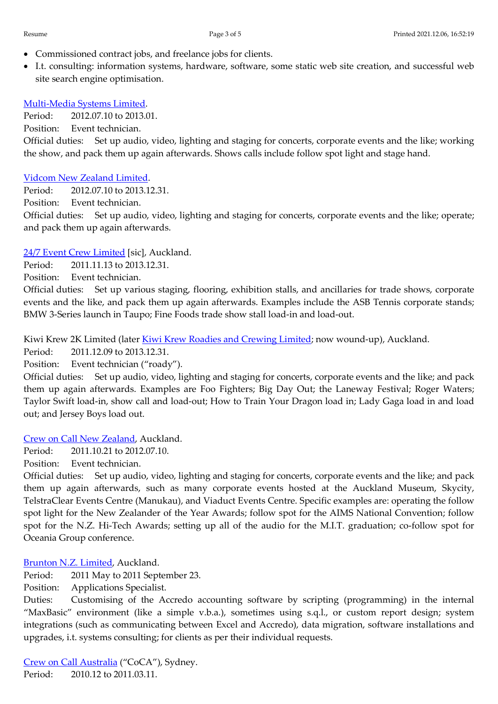- Commissioned contract jobs, and freelance jobs for clients.
- I.t. consulting: information systems, hardware, software, some static web site creation, and successful web site search engine optimisation.

## Multi-Media Systems Limited.

Period: 2012.07.10 to 2013.01.

Position: Event technician.

Official duties: Set up audio, video, lighting and staging for concerts, corporate events and the like; working the show, and pack them up again afterwards. Shows calls include follow spot light and stage hand.

#### Vidcom New Zealand Limited.

Period: 2012.07.10 to 2013.12.31.

Position: Event technician.

Official duties: Set up audio, video, lighting and staging for concerts, corporate events and the like; operate; and pack them up again afterwards.

## 24/7 Event Crew Limited [sic], Auckland.

Period: 2011.11.13 to 2013.12.31.

Position: Event technician.

Official duties: Set up various staging, flooring, exhibition stalls, and ancillaries for trade shows, corporate events and the like, and pack them up again afterwards. Examples include the ASB Tennis corporate stands; BMW 3-Series launch in Taupo; Fine Foods trade show stall load-in and load-out.

Kiwi Krew 2K Limited (later Kiwi Krew Roadies and Crewing Limited; now wound-up), Auckland.

Period: 2011.12.09 to 2013.12.31.

Position: Event technician ("roady").

Official duties: Set up audio, video, lighting and staging for concerts, corporate events and the like; and pack them up again afterwards. Examples are Foo Fighters; Big Day Out; the Laneway Festival; Roger Waters; Taylor Swift load-in, show call and load-out; How to Train Your Dragon load in; Lady Gaga load in and load out; and Jersey Boys load out.

## Crew on Call New Zealand, Auckland.

Period: 2011.10.21 to 2012.07.10.

Position: Event technician.

Official duties: Set up audio, video, lighting and staging for concerts, corporate events and the like; and pack them up again afterwards, such as many corporate events hosted at the Auckland Museum, Skycity, TelstraClear Events Centre (Manukau), and Viaduct Events Centre. Specific examples are: operating the follow spot light for the New Zealander of the Year Awards; follow spot for the AIMS National Convention; follow spot for the N.Z. Hi-Tech Awards; setting up all of the audio for the M.I.T. graduation; co-follow spot for Oceania Group conference.

## Brunton N.Z. Limited, Auckland.

Period: 2011 May to 2011 September 23.

Position: Applications Specialist.

Duties: Customising of the Accredo accounting software by scripting (programming) in the internal "MaxBasic" environment (like a simple v.b.a.), sometimes using s.q.l., or custom report design; system integrations (such as communicating between Excel and Accredo), data migration, software installations and upgrades, i.t. systems consulting; for clients as per their individual requests.

Crew on Call Australia ("CoCA"), Sydney. Period: 2010.12 to 2011.03.11.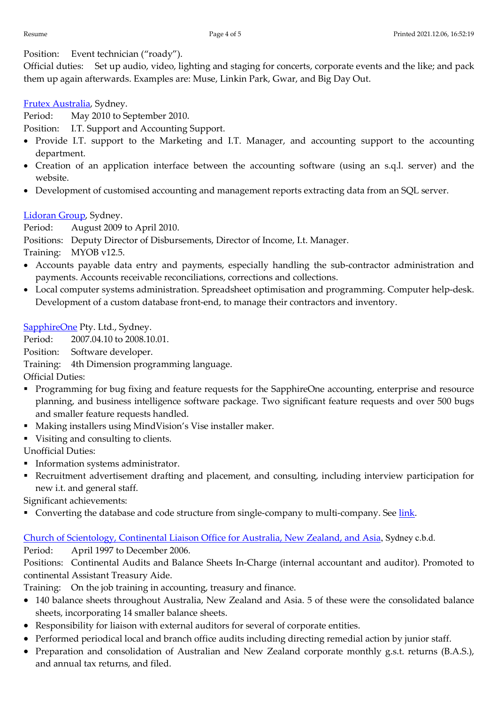Position: Event technician ("roady").

Official duties: Set up audio, video, lighting and staging for concerts, corporate events and the like; and pack them up again afterwards. Examples are: Muse, Linkin Park, Gwar, and Big Day Out.

Frutex Australia, Sydney.

Period: May 2010 to September 2010.

Position: I.T. Support and Accounting Support.

- Provide I.T. support to the Marketing and I.T. Manager, and accounting support to the accounting department.
- Creation of an application interface between the accounting software (using an s.q.l. server) and the website.
- Development of customised accounting and management reports extracting data from an SQL server.

# Lidoran Group, Sydney.

Period: August 2009 to April 2010.

Positions: Deputy Director of Disbursements, Director of Income, I.t. Manager.

Training: MYOB v12.5.

- Accounts payable data entry and payments, especially handling the sub-contractor administration and payments. Accounts receivable reconciliations, corrections and collections.
- Local computer systems administration. Spreadsheet optimisation and programming. Computer help-desk. Development of a custom database front-end, to manage their contractors and inventory.

SapphireOne Pty. Ltd., Sydney.

Period: 2007.04.10 to 2008.10.01.

Position: Software developer.

Training: 4th Dimension programming language.

Official Duties:

- **Programming for bug fixing and feature requests for the SapphireOne accounting, enterprise and resource** planning, and business intelligence software package. Two significant feature requests and over 500 bugs and smaller feature requests handled.
- Making installers using MindVision's Vise installer maker.
- Visiting and consulting to clients.

Unofficial Duties:

- **Information systems administrator.**
- Recruitment advertisement drafting and placement, and consulting, including interview participation for new i.t. and general staff.

Significant achievements:

Converting the database and code structure from single-company to multi-company. See link.

# Church of Scientology, Continental Liaison Office for Australia, New Zealand, and Asia, Sydney c.b.d.

Period: April 1997 to December 2006.

Positions: Continental Audits and Balance Sheets In-Charge (internal accountant and auditor). Promoted to continental Assistant Treasury Aide.

Training: On the job training in accounting, treasury and finance.

- 140 balance sheets throughout Australia, New Zealand and Asia. 5 of these were the consolidated balance sheets, incorporating 14 smaller balance sheets.
- Responsibility for liaison with external auditors for several of corporate entities.
- Performed periodical local and branch office audits including directing remedial action by junior staff.
- Preparation and consolidation of Australian and New Zealand corporate monthly g.s.t. returns (B.A.S.), and annual tax returns, and filed.